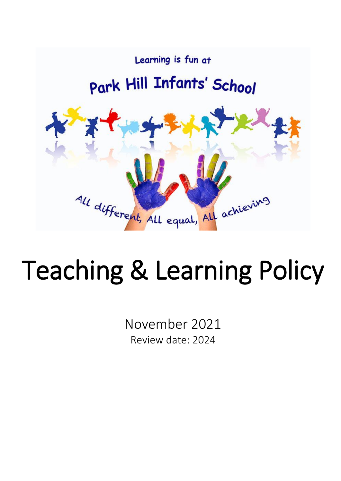

# Teaching & Learning Policy

November 2021 Review date: 2024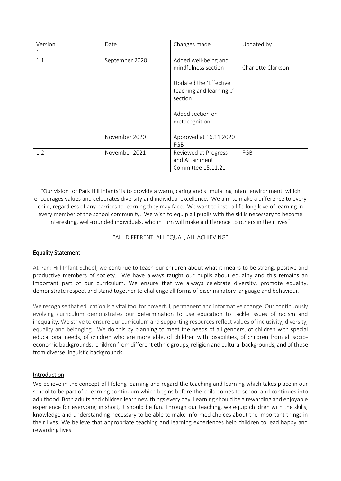| Version | Date           | Changes made                                                 | Updated by         |
|---------|----------------|--------------------------------------------------------------|--------------------|
|         |                |                                                              |                    |
| 1.1     | September 2020 | Added well-being and<br>mindfulness section                  | Charlotte Clarkson |
|         |                | Updated the 'Effective<br>teaching and learning'<br>section  |                    |
|         |                | Added section on<br>metacognition                            |                    |
|         | November 2020  | Approved at 16.11.2020<br>FGB                                |                    |
| 1.2     | November 2021  | Reviewed at Progress<br>and Attainment<br>Committee 15.11.21 | FGB                |

"Our vision for Park Hill Infants' is to provide a warm, caring and stimulating infant environment, which encourages values and celebrates diversity and individual excellence. We aim to make a difference to every child, regardless of any barriers to learning they may face. We want to instil a life-long love of learning in every member of the school community. We wish to equip all pupils with the skills necessary to become interesting, well-rounded individuals, who in turn will make a difference to others in their lives".

### "ALL DIFFERENT, ALL EQUAL, ALL ACHIEVING"

### Equality Statement

At Park Hill Infant School, we continue to teach our children about what it means to be strong, positive and productive members of society. We have always taught our pupils about equality and this remains an important part of our curriculum. We ensure that we always celebrate diversity, promote equality, demonstrate respect and stand together to challenge all forms of discriminatory language and behaviour.

We recognise that education is a vital tool for powerful, permanent and informative change. Our continuously evolving curriculum demonstrates our determination to use education to tackle issues of racism and inequality. We strive to ensure our curriculum and supporting resources reflect values of inclusivity, diversity, equality and belonging. We do this by planning to meet the needs of all genders, of children with special educational needs, of children who are more able, of children with disabilities, of children from all socioeconomic backgrounds, children from different ethnic groups, religion and cultural backgrounds, and of those from diverse linguistic backgrounds.

### Introduction

We believe in the concept of lifelong learning and regard the teaching and learning which takes place in our school to be part of a learning continuum which begins before the child comes to school and continues into adulthood. Both adults and children learn new things every day. Learning should be a rewarding and enjoyable experience for everyone; in short, it should be fun. Through our teaching, we equip children with the skills, knowledge and understanding necessary to be able to make informed choices about the important things in their lives. We believe that appropriate teaching and learning experiences help children to lead happy and rewarding lives.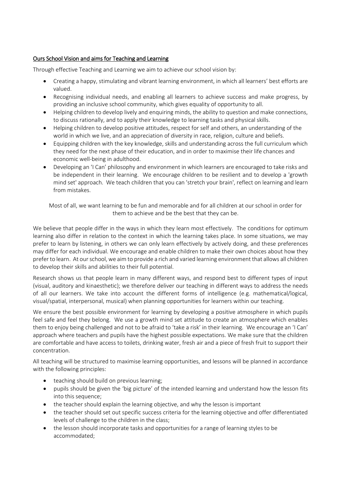# Ours School Vision and aims for Teaching and Learning

Through effective Teaching and Learning we aim to achieve our school vision by:

- Creating a happy, stimulating and vibrant learning environment, in which all learners' best efforts are valued.
- Recognising individual needs, and enabling all learners to achieve success and make progress, by providing an inclusive school community, which gives equality of opportunity to all.
- Helping children to develop lively and enquiring minds, the ability to question and make connections, to discuss rationally, and to apply their knowledge to learning tasks and physical skills.
- Helping children to develop positive attitudes, respect for self and others, an understanding of the world in which we live, and an appreciation of diversity in race, religion, culture and beliefs.
- Equipping children with the key knowledge, skills and understanding across the full curriculum which they need for the next phase of their education, and in order to maximise their life chances and economic well-being in adulthood.
- Developing an 'I Can' philosophy and environment in which learners are encouraged to take risks and be independent in their learning. We encourage children to be resilient and to develop a 'growth mind set' approach. We teach children that you can 'stretch your brain', reflect on learning and learn from mistakes.

Most of all, we want learning to be fun and memorable and for all children at our school in order for them to achieve and be the best that they can be.

We believe that people differ in the ways in which they learn most effectively. The conditions for optimum learning also differ in relation to the context in which the learning takes place. In some situations, we may prefer to learn by listening, in others we can only learn effectively by actively doing, and these preferences may differ for each individual. We encourage and enable children to make their own choices about how they prefer to learn. At our school, we aim to provide a rich and varied learning environment that allows all children to develop their skills and abilities to their full potential.

Research shows us that people learn in many different ways, and respond best to different types of input (visual, auditory and kinaesthetic); we therefore deliver our teaching in different ways to address the needs of all our learners. We take into account the different forms of intelligence (e.g. mathematical/logical, visual/spatial, interpersonal, musical) when planning opportunities for learners within our teaching.

We ensure the best possible environment for learning by developing a positive atmosphere in which pupils feel safe and feel they belong. We use a growth mind set attitude to create an atmosphere which enables them to enjoy being challenged and not to be afraid to 'take a risk' in their learning. We encourage an 'I Can' approach where teachers and pupils have the highest possible expectations. We make sure that the children are comfortable and have access to toilets, drinking water, fresh air and a piece of fresh fruit to support their concentration.

All teaching will be structured to maximise learning opportunities, and lessons will be planned in accordance with the following principles:

- teaching should build on previous learning;
- pupils should be given the 'big picture' of the intended learning and understand how the lesson fits into this sequence;
- the teacher should explain the learning objective, and why the lesson is important
- the teacher should set out specific success criteria for the learning objective and offer differentiated levels of challenge to the children in the class;
- the lesson should incorporate tasks and opportunities for a range of learning styles to be accommodated;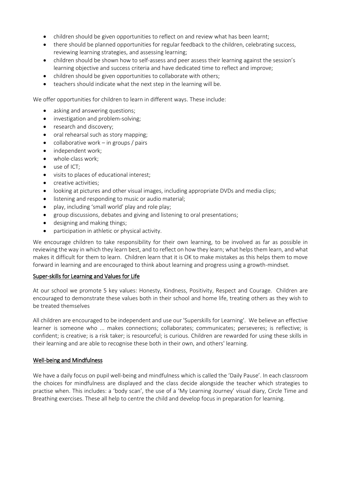- children should be given opportunities to reflect on and review what has been learnt:
- there should be planned opportunities for regular feedback to the children, celebrating success, reviewing learning strategies, and assessing learning;
- children should be shown how to self-assess and peer assess their learning against the session's learning objective and success criteria and have dedicated time to reflect and improve;
- children should be given opportunities to collaborate with others;
- teachers should indicate what the next step in the learning will be.

We offer opportunities for children to learn in different ways. These include:

- asking and answering questions;
- investigation and problem-solving;
- research and discovery;
- oral rehearsal such as story mapping;
- collaborative work in groups / pairs
- independent work;
- whole-class work;
- use of ICT:
- visits to places of educational interest;
- creative activities;
- looking at pictures and other visual images, including appropriate DVDs and media clips;
- listening and responding to music or audio material;
- play, including 'small world' play and role play;
- group discussions, debates and giving and listening to oral presentations;
- designing and making things;
- participation in athletic or physical activity.

We encourage children to take responsibility for their own learning, to be involved as far as possible in reviewing the way in which they learn best, and to reflect on how they learn; what helps them learn, and what makes it difficult for them to learn. Children learn that it is OK to make mistakes as this helps them to move forward in learning and are encouraged to think about learning and progress using a growth-mindset.

#### Super-skills for Learning and Values for Life

At our school we promote 5 key values: Honesty, Kindness, Positivity, Respect and Courage. Children are encouraged to demonstrate these values both in their school and home life, treating others as they wish to be treated themselves

All children are encouraged to be independent and use our 'Superskills for Learning'. We believe an effective learner is someone who ... makes connections; collaborates; communicates; perseveres; is reflective; is confident; is creative; is a risk taker; is resourceful; is curious. Children are rewarded for using these skills in their learning and are able to recognise these both in their own, and others' learning.

#### Well-being and Mindfulness

We have a daily focus on pupil well-being and mindfulness which is called the 'Daily Pause'. In each classroom the choices for mindfulness are displayed and the class decide alongside the teacher which strategies to practise when. This includes: a 'body scan', the use of a 'My Learning Journey' visual diary, Circle Time and Breathing exercises. These all help to centre the child and develop focus in preparation for learning.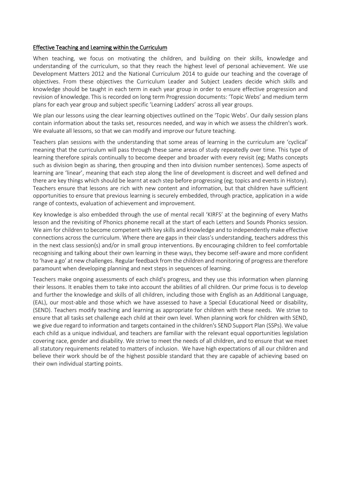#### Effective Teaching and Learning within the Curriculum

When teaching, we focus on motivating the children, and building on their skills, knowledge and understanding of the curriculum, so that they reach the highest level of personal achievement. We use Development Matters 2012 and the National Curriculum 2014 to guide our teaching and the coverage of objectives. From these objectives the Curriculum Leader and Subject Leaders decide which skills and knowledge should be taught in each term in each year group in order to ensure effective progression and revision of knowledge. This is recorded on long term Progression documents: 'Topic Webs' and medium term plans for each year group and subject specific 'Learning Ladders' across all year groups.

We plan our lessons using the clear learning objectives outlined on the 'Topic Webs'. Our daily session plans contain information about the tasks set, resources needed, and way in which we assess the children's work. We evaluate all lessons, so that we can modify and improve our future teaching.

Teachers plan sessions with the understanding that some areas of learning in the curriculum are 'cyclical' meaning that the curriculum will pass through these same areas of study repeatedly over time. This type of learning therefore spirals continually to become deeper and broader with every revisit (eg; Maths concepts such as division begin as sharing, then grouping and then into division number sentences). Some aspects of learning are 'linear', meaning that each step along the line of development is discreet and well defined and there are key things which should be learnt at each step before progressing (eg; topics and events in History). Teachers ensure that lessons are rich with new content and information, but that children have sufficient opportunities to ensure that previous learning is securely embedded, through practice, application in a wide range of contexts, evaluation of achievement and improvement.

Key knowledge is also embedded through the use of mental recall 'KIRFS' at the beginning of every Maths lesson and the revisiting of Phonics phoneme recall at the start of each Letters and Sounds Phonics session. We aim for children to become competent with key skills and knowledge and to independently make effective connections across the curriculum. Where there are gaps in their class's understanding, teachers address this in the next class session(s) and/or in small group interventions. By encouraging children to feel comfortable recognising and talking about their own learning in these ways, they become self-aware and more confident to 'have a go' at new challenges. Regular feedback from the children and monitoring of progress are therefore paramount when developing planning and next steps in sequences of learning.

Teachers make ongoing assessments of each child's progress, and they use this information when planning their lessons. It enables them to take into account the abilities of all children. Our prime focus is to develop and further the knowledge and skills of all children, including those with English as an Additional Language, (EAL), our most-able and those which we have assessed to have a Special Educational Need or disability, (SEND). Teachers modify teaching and learning as appropriate for children with these needs. We strive to ensure that all tasks set challenge each child at their own level. When planning work for children with SEND, we give due regard to information and targets contained in the children's SEND Support Plan (SSPs). We value each child as a unique individual, and teachers are familiar with the relevant equal opportunities legislation covering race, gender and disability. We strive to meet the needs of all children, and to ensure that we meet all statutory requirements related to matters of inclusion. We have high expectations of all our children and believe their work should be of the highest possible standard that they are capable of achieving based on their own individual starting points.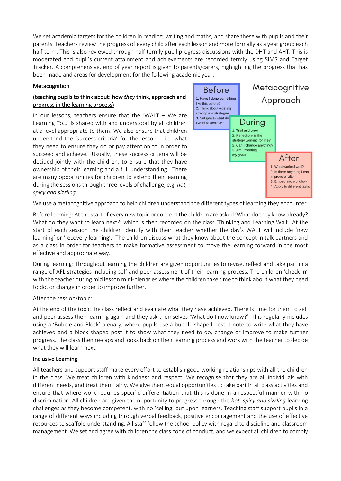We set academic targets for the children in reading, writing and maths, and share these with pupils and their parents. Teachers review the progress of every child after each lesson and more formally as a year group each half term. This is also reviewed through half termly pupil progress discussions with the DHT and AHT. This is moderated and pupil's current attainment and achievements are recorded termly using SIMS and Target Tracker. A comprehensive, end of year report is given to parents/carers, highlighting the progress that has been made and areas for development for the following academic year.

## Metacognition

## (teaching pupils to think about: how *they* think, approach and progress in the learning process)

In our lessons, teachers ensure that the 'WALT – We are Learning To…' is shared with and understood by all children at a level appropriate to them. We also ensure that children understand the 'success criteria' for the lesson – i.e. what they need to ensure they do or pay attention to in order to succeed and achieve. Usually, these success criteria will be decided jointly with the children, to ensure that they have ownership of their learning and a full understanding. There are many opportunities for children to extend their learning during the sessions through three levels of challenge, e.g. *hot, spicy and sizzling.*



We use a metacognitive approach to help children understand the different types of learning they encounter.

Before learning: At the start of every new topic or concept the children are asked 'What do they know already? What do they want to learn next?' which is then recorded on the class 'Thinking and Learning Wall'. At the start of each session the children identify with their teacher whether the day's WALT will include 'new learning' or 'recovery learning'. The children discuss what they know about the concept in talk partners and as a class in order for teachers to make formative assessment to move the learning forward in the most effective and appropriate way.

During learning: Throughout learning the children are given opportunities to revise, reflect and take part in a range of AFL strategies including self and peer assessment of their learning process. The children 'check in' with the teacher during mid lesson mini-plenaries where the children take time to think about what they need to do, or change in order to improve further.

### After the session/topic:

At the end of the topic the class reflect and evaluate what they have achieved. There is time for them to self and peer assess their learning again and they ask themselves 'What do I now know?'. This regularly includes using a 'Bubble and Block' plenary; where pupils use a bubble shaped post it note to write what they have achieved and a block shaped post it to show what they need to do, change or improve to make further progress. The class then re-caps and looks back on their learning process and work with the teacher to decide what they will learn next.

#### Inclusive Learning

All teachers and support staff make every effort to establish good working relationships with all the children in the class. We treat children with kindness and respect. We recognise that they are all individuals with different needs, and treat them fairly. We give them equal opportunities to take part in all class activities and ensure that where work requires specific differentiation that this is done in a respectful manner with no discrimination. All children are given the opportunity to progress through the *hot, spicy and sizzling* learning challenges as they become competent, with no 'ceiling' put upon learners. Teaching staff support pupils in a range of different ways including through verbal feedback, positive encouragement and the use of effective resources to scaffold understanding. All staff follow the school policy with regard to discipline and classroom management. We set and agree with children the class code of conduct, and we expect all children to comply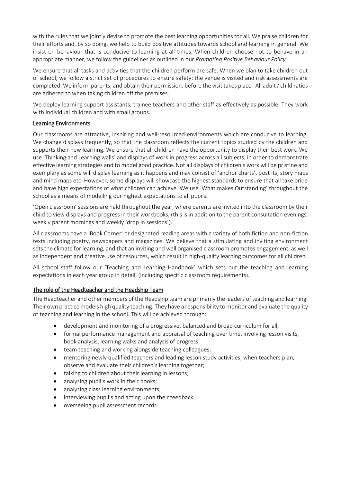with the rules that we jointly devise to promote the best learning opportunities for all. We praise children for their efforts and, by so doing, we help to build positive attitudes towards school and learning in general. We insist on behaviour that is conducive to learning at all times. When children choose not to behave in an appropriate manner, we follow the guidelines as outlined in our *Promoting Positive Behaviour Policy.*

We ensure that all tasks and activities that the children perform are safe. When we plan to take children out of school, we follow a strict set of procedures to ensure safety: the venue is visited and risk assessments are completed. We inform parents, and obtain their permission, before the visit takes place. All adult / child ratios are adhered to when taking children off the premises.

We deploy learning support assistants, trainee teachers and other staff as effectively as possible. They work with individual children and with small groups.

### Learning Environments

Our classrooms are attractive, inspiring and well-resourced environments which are conducive to learning. We change displays frequently, so that the classroom reflects the current topics studied by the children and supports their new learning. We ensure that all children have the opportunity to display their best work. We use 'Thinking and Learning walls' and displays of work in progress across all subjects, in order to demonstrate effective learning strategies and to model good practice. Not all displays of children's work will be pristine and exemplary as some will display learning as it happens and may consist of 'anchor charts', post its, story maps and mind maps etc. However, some displays will showcase the highest standards to ensure that all take pride and have high expectations of what children can achieve. We use 'What makes Outstanding' throughout the school as a means of modelling our highest expectations to all pupils.

'Open classroom' sessions are held throughout the year, where parents are invited into the classroom by their child to view displays and progress in their workbooks, (this is in addition to the parent consultation evenings, weekly parent mornings and weekly 'drop in sessions').

All classrooms have a 'Book Corner' or designated reading areas with a variety of both fiction and non-fiction texts including poetry, newspapers and magazines. We believe that a stimulating and inviting environment sets the climate for learning, and that an inviting and well organised classroom promotes engagement, as well as independent and creative use of resources, which result in high-quality learning outcomes for all children.

All school staff follow our 'Teaching and Learning Handbook' which sets out the teaching and learning expectations in each year group in detail, (including specific classroom requirements).

# The role of the Headteacher and the Headship Team

The Headteacher and other members of the Headship team are primarily the leaders of teaching and learning. Their own practice models high quality teaching. They have a responsibility to monitor and evaluate the quality of teaching and learning in the school. This will be achieved through:

- development and monitoring of a progressive, balanced and broad curriculum for all;
- formal performance management and appraisal of teaching over time, involving lesson visits, book analysis, learning walks and analysis of progress;
- team teaching and working alongside teaching colleagues;
- mentoring newly qualified teachers and leading lesson study activities, when teachers plan, observe and evaluate their children's learning together;
- talking to children about their learning in lessons;
- analysing pupil's work in their books;
- analysing class learning environments;
- interviewing pupil's and acting upon their feedback;
- overseeing pupil assessment records.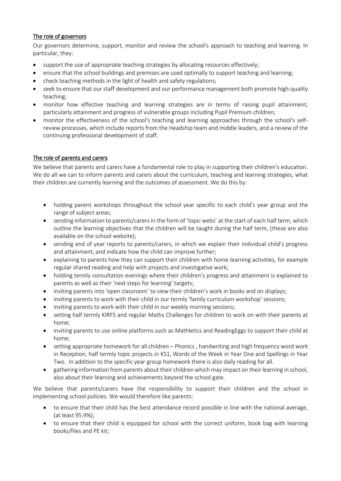## The role of governors

Our governors determine, support, monitor and review the school's approach to teaching and learning. In particular, they:

- support the use of appropriate teaching strategies by allocating resources effectively;
- ensure that the school buildings and premises are used optimally to support teaching and learning;
- check teaching methods in the light of health and safety regulations;
- seek to ensure that our staff development and our performance management both promote high-quality teaching;
- monitor how effective teaching and learning strategies are in terms of raising pupil attainment, particularly attainment and progress of vulnerable groups including Pupil Premium children;
- monitor the effectiveness of the school's teaching and learning approaches through the school's selfreview processes, which include reports from the Headship team and middle leaders, and a review of the continuing professional development of staff.

## The role of parents and carers

We believe that parents and carers have a fundamental role to play in supporting their children's education. We do all we can to inform parents and carers about the curriculum, teaching and learning strategies, what their children are currently learning and the outcomes of assessment. We do this by:

- holding parent workshops throughout the school year specific to each child's year group and the range of subject areas;
- sending information to parents/carers in the form of 'topic webs' at the start of each half term, which outline the learning objectives that the children will be taught during the half term, (these are also available on the school website);
- sending end of year reports to parents/carers, in which we explain their individual child's progress and attainment, and indicate how the child can improve further;
- explaining to parents how they can support their children with home learning activities, for example regular shared reading and help with projects and investigative work;
- holding termly consultation evenings where their children's progress and attainment is explained to parents as well as their 'next steps for learning' targets;
- inviting parents into 'open classroom' to view their children's work in books and on displays;
- inviting parents to work with their child in our termly 'family curriculum workshop' sessions;
- inviting parents to work with their child in our weekly morning sessions;
- setting half termly KIRFS and regular Maths Challenges for children to work on with their parents at home;
- inviting parents to use online platforms such as Mathletics and ReadingEggs to support their child at home;
- setting appropriate homework for all children Phonics , handwriting and high frequency word work in Reception, half termly topic projects in KS1, Words of the Week in Year One and Spellings in Year Two. In addition to the specific year group homework there is also daily reading for all.
- gathering information from parents about their children which may impact on their learning in school, also about their learning and achievements beyond the school gate.

We believe that parents/carers have the responsibility to support their children and the school in implementing school policies. We would therefore like parents:

- to ensure that their child has the best attendance record possible in line with the national average, (at least 95.9%);
- to ensure that their child is equipped for school with the correct uniform, book bag with learning books/files and PE kit;